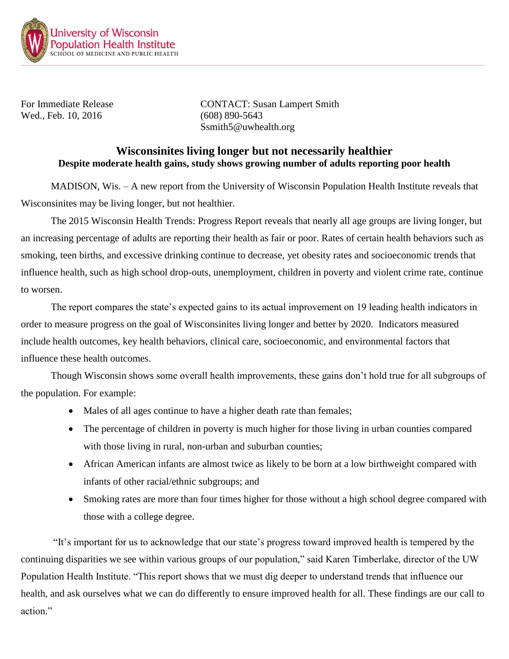

Wed., Feb. 10, 2016 (608) 890-5643

For Immediate Release CONTACT: Susan Lampert Smith Ssmith5@uwhealth.org

## **Wisconsinites living longer but not necessarily healthier Despite moderate health gains, study shows growing number of adults reporting poor health**

MADISON, Wis. – A new report from the University of Wisconsin Population Health Institute reveals that Wisconsinites may be living longer, but not healthier.

The 2015 Wisconsin Health Trends: Progress Report reveals that nearly all age groups are living longer, but an increasing percentage of adults are reporting their health as fair or poor. Rates of certain health behaviors such as smoking, teen births, and excessive drinking continue to decrease, yet obesity rates and socioeconomic trends that influence health, such as high school drop-outs, unemployment, children in poverty and violent crime rate, continue to worsen.

The report compares the state's expected gains to its actual improvement on 19 leading health indicators in order to measure progress on the goal of Wisconsinites living longer and better by 2020. Indicators measured include health outcomes, key health behaviors, clinical care, socioeconomic, and environmental factors that influence these health outcomes.

Though Wisconsin shows some overall health improvements, these gains don't hold true for all subgroups of the population. For example:

- Males of all ages continue to have a higher death rate than females;
- The percentage of children in poverty is much higher for those living in urban counties compared with those living in rural, non-urban and suburban counties;
- African American infants are almost twice as likely to be born at a low birthweight compared with infants of other racial/ethnic subgroups; and
- Smoking rates are more than four times higher for those without a high school degree compared with those with a college degree.

"It's important for us to acknowledge that our state's progress toward improved health is tempered by the continuing disparities we see within various groups of our population," said Karen Timberlake, director of the UW Population Health Institute. "This report shows that we must dig deeper to understand trends that influence our health, and ask ourselves what we can do differently to ensure improved health for all. These findings are our call to action"